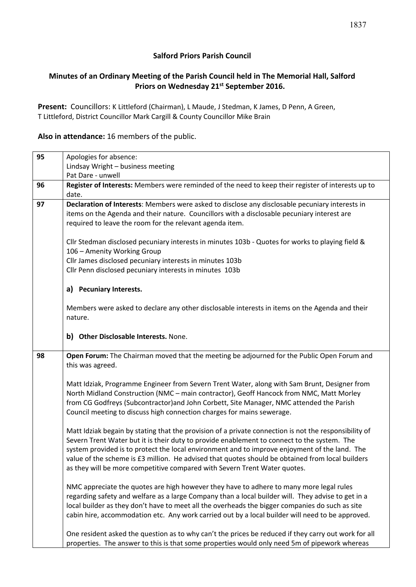## **Salford Priors Parish Council**

## **Minutes of an Ordinary Meeting of the Parish Council held in The Memorial Hall, Salford Priors on Wednesday 21st September 2016.**

**Present:** Councillors: K Littleford (Chairman), L Maude, J Stedman, K James, D Penn, A Green, T Littleford, District Councillor Mark Cargill & County Councillor Mike Brain

#### **Also in attendance:** 16 members of the public.

| 95 | Apologies for absence:                                                                                                                                                                                                                                                                                                                                                                                                                                                                 |  |  |
|----|----------------------------------------------------------------------------------------------------------------------------------------------------------------------------------------------------------------------------------------------------------------------------------------------------------------------------------------------------------------------------------------------------------------------------------------------------------------------------------------|--|--|
|    | Lindsay Wright - business meeting                                                                                                                                                                                                                                                                                                                                                                                                                                                      |  |  |
|    | Pat Dare - unwell                                                                                                                                                                                                                                                                                                                                                                                                                                                                      |  |  |
| 96 | Register of Interests: Members were reminded of the need to keep their register of interests up to                                                                                                                                                                                                                                                                                                                                                                                     |  |  |
|    | date.                                                                                                                                                                                                                                                                                                                                                                                                                                                                                  |  |  |
| 97 | Declaration of Interests: Members were asked to disclose any disclosable pecuniary interests in<br>items on the Agenda and their nature. Councillors with a disclosable pecuniary interest are<br>required to leave the room for the relevant agenda item.                                                                                                                                                                                                                             |  |  |
|    | Cllr Stedman disclosed pecuniary interests in minutes 103b - Quotes for works to playing field &<br>106 - Amenity Working Group<br>Cllr James disclosed pecuniary interests in minutes 103b<br>Cllr Penn disclosed pecuniary interests in minutes 103b                                                                                                                                                                                                                                 |  |  |
|    | a) Pecuniary Interests.                                                                                                                                                                                                                                                                                                                                                                                                                                                                |  |  |
|    | Members were asked to declare any other disclosable interests in items on the Agenda and their<br>nature.                                                                                                                                                                                                                                                                                                                                                                              |  |  |
|    | b) Other Disclosable Interests. None.                                                                                                                                                                                                                                                                                                                                                                                                                                                  |  |  |
| 98 | Open Forum: The Chairman moved that the meeting be adjourned for the Public Open Forum and<br>this was agreed.                                                                                                                                                                                                                                                                                                                                                                         |  |  |
|    | Matt Idziak, Programme Engineer from Severn Trent Water, along with Sam Brunt, Designer from<br>North Midland Construction (NMC - main contractor), Geoff Hancock from NMC, Matt Morley<br>from CG Godfreys (Subcontractor) and John Corbett, Site Manager, NMC attended the Parish<br>Council meeting to discuss high connection charges for mains sewerage.                                                                                                                          |  |  |
|    | Matt Idziak begain by stating that the provision of a private connection is not the responsibility of<br>Severn Trent Water but it is their duty to provide enablement to connect to the system. The<br>system provided is to protect the local environment and to improve enjoyment of the land. The<br>value of the scheme is £3 million. He advised that quotes should be obtained from local builders<br>as they will be more competitive compared with Severn Trent Water quotes. |  |  |
|    | NMC appreciate the quotes are high however they have to adhere to many more legal rules<br>regarding safety and welfare as a large Company than a local builder will. They advise to get in a<br>local builder as they don't have to meet all the overheads the bigger companies do such as site<br>cabin hire, accommodation etc. Any work carried out by a local builder will need to be approved.                                                                                   |  |  |
|    | One resident asked the question as to why can't the prices be reduced if they carry out work for all<br>properties. The answer to this is that some properties would only need 5m of pipework whereas                                                                                                                                                                                                                                                                                  |  |  |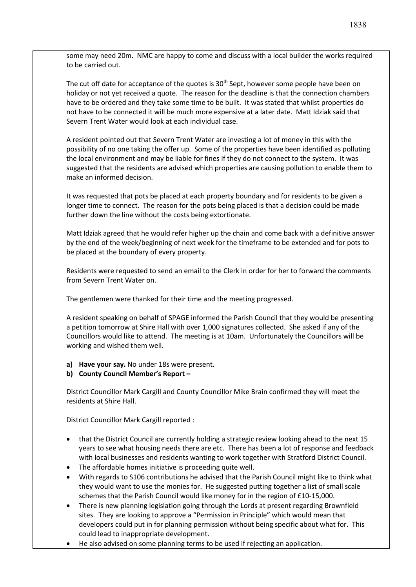some may need 20m. NMC are happy to come and discuss with a local builder the works required to be carried out.

The cut off date for acceptance of the quotes is 30<sup>th</sup> Sept, however some people have been on holiday or not yet received a quote. The reason for the deadline is that the connection chambers have to be ordered and they take some time to be built. It was stated that whilst properties do not have to be connected it will be much more expensive at a later date. Matt Idziak said that Severn Trent Water would look at each individual case.

A resident pointed out that Severn Trent Water are investing a lot of money in this with the possibility of no one taking the offer up. Some of the properties have been identified as polluting the local environment and may be liable for fines if they do not connect to the system. It was suggested that the residents are advised which properties are causing pollution to enable them to make an informed decision.

It was requested that pots be placed at each property boundary and for residents to be given a longer time to connect. The reason for the pots being placed is that a decision could be made further down the line without the costs being extortionate.

Matt Idziak agreed that he would refer higher up the chain and come back with a definitive answer by the end of the week/beginning of next week for the timeframe to be extended and for pots to be placed at the boundary of every property.

Residents were requested to send an email to the Clerk in order for her to forward the comments from Severn Trent Water on.

The gentlemen were thanked for their time and the meeting progressed.

A resident speaking on behalf of SPAGE informed the Parish Council that they would be presenting a petition tomorrow at Shire Hall with over 1,000 signatures collected. She asked if any of the Councillors would like to attend. The meeting is at 10am. Unfortunately the Councillors will be working and wished them well.

**a) Have your say.** No under 18s were present.

## **b) County Council Member's Report –**

District Councillor Mark Cargill and County Councillor Mike Brain confirmed they will meet the residents at Shire Hall.

District Councillor Mark Cargill reported :

- that the District Council are currently holding a strategic review looking ahead to the next 15 years to see what housing needs there are etc. There has been a lot of response and feedback with local businesses and residents wanting to work together with Stratford District Council.
- The affordable homes initiative is proceeding quite well.
- With regards to S106 contributions he advised that the Parish Council might like to think what they would want to use the monies for. He suggested putting together a list of small scale schemes that the Parish Council would like money for in the region of £10-15,000.
- There is new planning legislation going through the Lords at present regarding Brownfield sites. They are looking to approve a "Permission in Principle" which would mean that developers could put in for planning permission without being specific about what for. This could lead to inappropriate development.
- He also advised on some planning terms to be used if rejecting an application.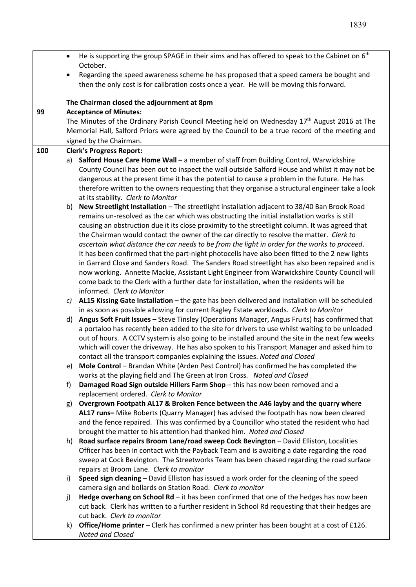|                                        | He is supporting the group SPAGE in their aims and has offered to speak to the Cabinet on 6 <sup>th</sup><br>$\bullet$<br>October.                                                             |  |  |  |
|----------------------------------------|------------------------------------------------------------------------------------------------------------------------------------------------------------------------------------------------|--|--|--|
|                                        | Regarding the speed awareness scheme he has proposed that a speed camera be bought and<br>$\bullet$                                                                                            |  |  |  |
|                                        | then the only cost is for calibration costs once a year. He will be moving this forward.                                                                                                       |  |  |  |
|                                        | The Chairman closed the adjournment at 8pm                                                                                                                                                     |  |  |  |
| 99                                     | <b>Acceptance of Minutes:</b>                                                                                                                                                                  |  |  |  |
|                                        | The Minutes of the Ordinary Parish Council Meeting held on Wednesday $17th$ August 2016 at The                                                                                                 |  |  |  |
|                                        | Memorial Hall, Salford Priors were agreed by the Council to be a true record of the meeting and                                                                                                |  |  |  |
| signed by the Chairman.                |                                                                                                                                                                                                |  |  |  |
| 100<br><b>Clerk's Progress Report:</b> |                                                                                                                                                                                                |  |  |  |
|                                        | Salford House Care Home Wall - a member of staff from Building Control, Warwickshire<br>a)                                                                                                     |  |  |  |
|                                        | County Council has been out to inspect the wall outside Salford House and whilst it may not be                                                                                                 |  |  |  |
|                                        | dangerous at the present time it has the potential to cause a problem in the future. He has<br>therefore written to the owners requesting that they organise a structural engineer take a look |  |  |  |
|                                        | at its stability. Clerk to Monitor                                                                                                                                                             |  |  |  |
|                                        | New Streetlight Installation - The streetlight installation adjacent to 38/40 Ban Brook Road<br>b)                                                                                             |  |  |  |
|                                        | remains un-resolved as the car which was obstructing the initial installation works is still                                                                                                   |  |  |  |
|                                        | causing an obstruction due it its close proximity to the streetlight column. It was agreed that                                                                                                |  |  |  |
|                                        | the Chairman would contact the owner of the car directly to resolve the matter. Clerk to                                                                                                       |  |  |  |
|                                        | ascertain what distance the car needs to be from the light in order for the works to proceed.                                                                                                  |  |  |  |
|                                        | It has been confirmed that the part-night photocells have also been fitted to the 2 new lights                                                                                                 |  |  |  |
|                                        | in Garrard Close and Sanders Road. The Sanders Road streetlight has also been repaired and is                                                                                                  |  |  |  |
|                                        | now working. Annette Mackie, Assistant Light Engineer from Warwickshire County Council will                                                                                                    |  |  |  |
|                                        | come back to the Clerk with a further date for installation, when the residents will be                                                                                                        |  |  |  |
|                                        | informed. Clerk to Monitor                                                                                                                                                                     |  |  |  |
|                                        | AL15 Kissing Gate Installation - the gate has been delivered and installation will be scheduled<br>C)<br>in as soon as possible allowing for current Ragley Estate workloads. Clerk to Monitor |  |  |  |
|                                        | Angus Soft Fruit Issues - Steve Tinsley (Operations Manager, Angus Fruits) has confirmed that<br>d)                                                                                            |  |  |  |
|                                        | a portaloo has recently been added to the site for drivers to use whilst waiting to be unloaded                                                                                                |  |  |  |
|                                        | out of hours. A CCTV system is also going to be installed around the site in the next few weeks                                                                                                |  |  |  |
|                                        | which will cover the driveway. He has also spoken to his Transport Manager and asked him to                                                                                                    |  |  |  |
|                                        | contact all the transport companies explaining the issues. Noted and Closed                                                                                                                    |  |  |  |
|                                        | Mole Control - Brandan White (Arden Pest Control) has confirmed he has completed the<br>e)                                                                                                     |  |  |  |
|                                        | works at the playing field and The Green at Iron Cross. Noted and Closed                                                                                                                       |  |  |  |
|                                        | Damaged Road Sign outside Hillers Farm Shop - this has now been removed and a<br>f)                                                                                                            |  |  |  |
|                                        | replacement ordered. Clerk to Monitor                                                                                                                                                          |  |  |  |
|                                        | Overgrown Footpath AL17 & Broken Fence between the A46 layby and the quarry where<br>g)                                                                                                        |  |  |  |
|                                        | AL17 runs- Mike Roberts (Quarry Manager) has advised the footpath has now been cleared<br>and the fence repaired. This was confirmed by a Councillor who stated the resident who had           |  |  |  |
|                                        | brought the matter to his attention had thanked him. Noted and Closed                                                                                                                          |  |  |  |
|                                        | Road surface repairs Broom Lane/road sweep Cock Bevington - David Elliston, Localities<br>h)                                                                                                   |  |  |  |
|                                        | Officer has been in contact with the Payback Team and is awaiting a date regarding the road                                                                                                    |  |  |  |
|                                        | sweep at Cock Bevington. The Streetworks Team has been chased regarding the road surface                                                                                                       |  |  |  |
|                                        | repairs at Broom Lane. Clerk to monitor                                                                                                                                                        |  |  |  |
|                                        | Speed sign cleaning - David Elliston has issued a work order for the cleaning of the speed<br>i)                                                                                               |  |  |  |
|                                        | camera sign and bollards on Station Road. Clerk to monitor                                                                                                                                     |  |  |  |
|                                        | Hedge overhang on School Rd - it has been confirmed that one of the hedges has now been<br>j)                                                                                                  |  |  |  |
|                                        | cut back. Clerk has written to a further resident in School Rd requesting that their hedges are                                                                                                |  |  |  |
|                                        | cut back. Clerk to monitor                                                                                                                                                                     |  |  |  |
|                                        | Office/Home printer - Clerk has confirmed a new printer has been bought at a cost of £126.<br>k)                                                                                               |  |  |  |
|                                        | Noted and Closed                                                                                                                                                                               |  |  |  |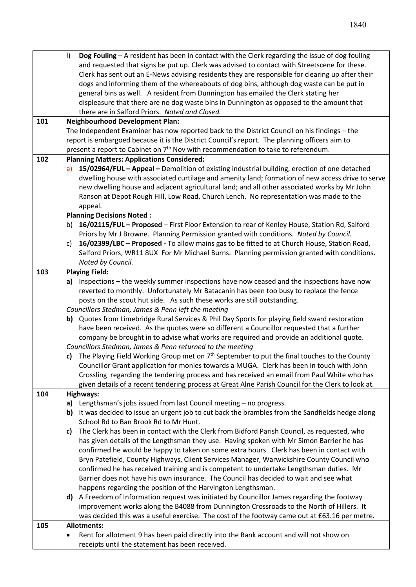|     | $\vert$<br>Dog Fouling - A resident has been in contact with the Clerk regarding the issue of dog fouling |  |  |  |  |
|-----|-----------------------------------------------------------------------------------------------------------|--|--|--|--|
|     | and requested that signs be put up. Clerk was advised to contact with Streetscene for these.              |  |  |  |  |
|     | Clerk has sent out an E-News advising residents they are responsible for clearing up after their          |  |  |  |  |
|     | dogs and informing them of the whereabouts of dog bins, although dog waste can be put in                  |  |  |  |  |
|     | general bins as well. A resident from Dunnington has emailed the Clerk stating her                        |  |  |  |  |
|     | displeasure that there are no dog waste bins in Dunnington as opposed to the amount that                  |  |  |  |  |
|     | there are in Salford Priors. Noted and Closed.                                                            |  |  |  |  |
| 101 | <b>Neighbourhood Development Plan:</b>                                                                    |  |  |  |  |
|     | The Independent Examiner has now reported back to the District Council on his findings - the              |  |  |  |  |
|     | report is embargoed because it is the District Council's report. The planning officers aim to             |  |  |  |  |
|     | present a report to Cabinet on 7 <sup>th</sup> Nov with recommendation to take to referendum.             |  |  |  |  |
| 102 | <b>Planning Matters: Applications Considered:</b>                                                         |  |  |  |  |
|     | a) 15/02964/FUL - Appeal - Demolition of existing industrial building, erection of one detached           |  |  |  |  |
|     | dwelling house with associated curtilage and amenity land; formation of new access drive to serve         |  |  |  |  |
|     | new dwelling house and adjacent agricultural land; and all other associated works by Mr John              |  |  |  |  |
|     | Ranson at Depot Rough Hill, Low Road, Church Lench. No representation was made to the                     |  |  |  |  |
|     | appeal.                                                                                                   |  |  |  |  |
|     | <b>Planning Decisions Noted:</b>                                                                          |  |  |  |  |
|     | 16/02115/FUL - Proposed - First Floor Extension to rear of Kenley House, Station Rd, Salford<br>b)        |  |  |  |  |
|     | Priors by Mr J Browne. Planning Permission granted with conditions. Noted by Council.                     |  |  |  |  |
|     | 16/02399/LBC - Proposed - To allow mains gas to be fitted to at Church House, Station Road,<br>C)         |  |  |  |  |
|     | Salford Priors, WR11 8UX For Mr Michael Burns. Planning permission granted with conditions.               |  |  |  |  |
|     | Noted by Council.                                                                                         |  |  |  |  |
| 103 | <b>Playing Field:</b>                                                                                     |  |  |  |  |
|     | Inspections – the weekly summer inspections have now ceased and the inspections have now<br>a)            |  |  |  |  |
|     | reverted to monthly. Unfortunately Mr Batacanin has been too busy to replace the fence                    |  |  |  |  |
|     | posts on the scout hut side. As such these works are still outstanding.                                   |  |  |  |  |
|     | Councillors Stedman, James & Penn left the meeting                                                        |  |  |  |  |
|     | b) Quotes from Limebridge Rural Services & Phil Day Sports for playing field sward restoration            |  |  |  |  |
|     | have been received. As the quotes were so different a Councillor requested that a further                 |  |  |  |  |
|     | company be brought in to advise what works are required and provide an additional quote.                  |  |  |  |  |
|     | Councillors Stedman, James & Penn returned to the meeting                                                 |  |  |  |  |
|     | c) The Playing Field Working Group met on $7th$ September to put the final touches to the County          |  |  |  |  |
|     | Councillor Grant application for monies towards a MUGA. Clerk has been in touch with John                 |  |  |  |  |
|     | Crossling regarding the tendering process and has received an email from Paul White who has               |  |  |  |  |
|     | given details of a recent tendering process at Great Alne Parish Council for the Clerk to look at.        |  |  |  |  |
| 104 | <b>Highways:</b>                                                                                          |  |  |  |  |
|     | Lengthsman's jobs issued from last Council meeting - no progress.<br>a)                                   |  |  |  |  |
|     | It was decided to issue an urgent job to cut back the brambles from the Sandfields hedge along<br>b)      |  |  |  |  |
|     | School Rd to Ban Brook Rd to Mr Hunt.                                                                     |  |  |  |  |
|     | The Clerk has been in contact with the Clerk from Bidford Parish Council, as requested, who<br>C)         |  |  |  |  |
|     | has given details of the Lengthsman they use. Having spoken with Mr Simon Barrier he has                  |  |  |  |  |
|     | confirmed he would be happy to taken on some extra hours. Clerk has been in contact with                  |  |  |  |  |
|     | Bryn Patefield, County Highways, Client Services Manager, Warwickshire County Council who                 |  |  |  |  |
|     | confirmed he has received training and is competent to undertake Lengthsman duties. Mr                    |  |  |  |  |
|     | Barrier does not have his own insurance. The Council has decided to wait and see what                     |  |  |  |  |
|     | happens regarding the position of the Harvington Lengthsman.                                              |  |  |  |  |
|     | d) A Freedom of Information request was initiated by Councillor James regarding the footway               |  |  |  |  |
|     | improvement works along the B4088 from Dunnington Crossroads to the North of Hillers. It                  |  |  |  |  |
|     | was decided this was a useful exercise. The cost of the footway came out at £63.16 per metre.             |  |  |  |  |
| 105 | <b>Allotments:</b>                                                                                        |  |  |  |  |
|     | Rent for allotment 9 has been paid directly into the Bank account and will not show on<br>٠               |  |  |  |  |
|     | receipts until the statement has been received.                                                           |  |  |  |  |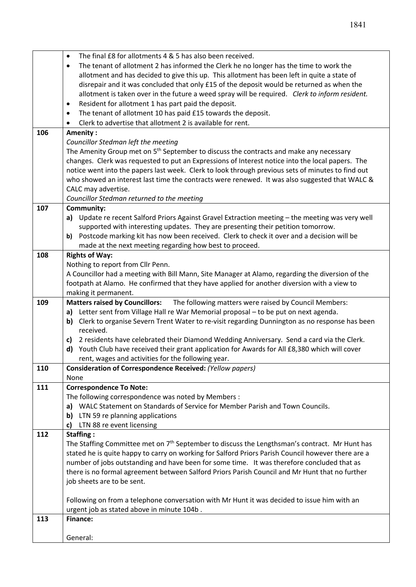|     | The final £8 for allotments 4 & 5 has also been received.                                                                    |  |  |  |  |
|-----|------------------------------------------------------------------------------------------------------------------------------|--|--|--|--|
|     | $\bullet$                                                                                                                    |  |  |  |  |
|     | The tenant of allotment 2 has informed the Clerk he no longer has the time to work the<br>$\bullet$                          |  |  |  |  |
|     | allotment and has decided to give this up. This allotment has been left in quite a state of                                  |  |  |  |  |
|     | disrepair and it was concluded that only £15 of the deposit would be returned as when the                                    |  |  |  |  |
|     | allotment is taken over in the future a weed spray will be required. Clerk to inform resident.                               |  |  |  |  |
|     | Resident for allotment 1 has part paid the deposit.<br>$\bullet$                                                             |  |  |  |  |
|     | The tenant of allotment 10 has paid £15 towards the deposit.<br>$\bullet$                                                    |  |  |  |  |
|     | Clerk to advertise that allotment 2 is available for rent.<br>$\bullet$                                                      |  |  |  |  |
| 106 | Amenity:                                                                                                                     |  |  |  |  |
|     | Councillor Stedman left the meeting                                                                                          |  |  |  |  |
|     | The Amenity Group met on 5 <sup>th</sup> September to discuss the contracts and make any necessary                           |  |  |  |  |
|     | changes. Clerk was requested to put an Expressions of Interest notice into the local papers. The                             |  |  |  |  |
|     | notice went into the papers last week. Clerk to look through previous sets of minutes to find out                            |  |  |  |  |
|     | who showed an interest last time the contracts were renewed. It was also suggested that WALC &                               |  |  |  |  |
|     |                                                                                                                              |  |  |  |  |
|     | CALC may advertise.                                                                                                          |  |  |  |  |
|     | Councillor Stedman returned to the meeting                                                                                   |  |  |  |  |
| 107 | Community:                                                                                                                   |  |  |  |  |
|     | a) Update re recent Salford Priors Against Gravel Extraction meeting - the meeting was very well                             |  |  |  |  |
|     | supported with interesting updates. They are presenting their petition tomorrow.                                             |  |  |  |  |
|     | Postcode marking kit has now been received. Clerk to check it over and a decision will be<br>b)                              |  |  |  |  |
|     | made at the next meeting regarding how best to proceed.                                                                      |  |  |  |  |
| 108 | <b>Rights of Way:</b>                                                                                                        |  |  |  |  |
|     | Nothing to report from Cllr Penn.                                                                                            |  |  |  |  |
|     | A Councillor had a meeting with Bill Mann, Site Manager at Alamo, regarding the diversion of the                             |  |  |  |  |
|     | footpath at Alamo. He confirmed that they have applied for another diversion with a view to                                  |  |  |  |  |
|     | making it permanent.                                                                                                         |  |  |  |  |
| 109 | Matters raised by Councillors: The following matters were raised by Council Members:                                         |  |  |  |  |
|     | a) Letter sent from Village Hall re War Memorial proposal - to be put on next agenda.                                        |  |  |  |  |
|     | b) Clerk to organise Severn Trent Water to re-visit regarding Dunnington as no response has been                             |  |  |  |  |
|     | received.                                                                                                                    |  |  |  |  |
|     | c) 2 residents have celebrated their Diamond Wedding Anniversary. Send a card via the Clerk.                                 |  |  |  |  |
|     | d) Youth Club have received their grant application for Awards for All £8,380 which will cover                               |  |  |  |  |
|     | rent, wages and activities for the following year.                                                                           |  |  |  |  |
| 110 | <b>Consideration of Correspondence Received: (Yellow papers)</b>                                                             |  |  |  |  |
|     | None                                                                                                                         |  |  |  |  |
| 111 | <b>Correspondence To Note:</b>                                                                                               |  |  |  |  |
|     | The following correspondence was noted by Members :                                                                          |  |  |  |  |
|     | WALC Statement on Standards of Service for Member Parish and Town Councils.<br>a)                                            |  |  |  |  |
|     | <b>b)</b> LTN 59 re planning applications                                                                                    |  |  |  |  |
|     | LTN 88 re event licensing<br>c)                                                                                              |  |  |  |  |
| 112 | Staffing:                                                                                                                    |  |  |  |  |
|     | The Staffing Committee met on 7 <sup>th</sup> September to discuss the Lengthsman's contract. Mr Hunt has                    |  |  |  |  |
|     | stated he is quite happy to carry on working for Salford Priors Parish Council however there are a                           |  |  |  |  |
|     | number of jobs outstanding and have been for some time. It was therefore concluded that as                                   |  |  |  |  |
|     |                                                                                                                              |  |  |  |  |
|     | there is no formal agreement between Salford Priors Parish Council and Mr Hunt that no further<br>job sheets are to be sent. |  |  |  |  |
|     |                                                                                                                              |  |  |  |  |
|     |                                                                                                                              |  |  |  |  |
|     | Following on from a telephone conversation with Mr Hunt it was decided to issue him with an                                  |  |  |  |  |
| 113 | urgent job as stated above in minute 104b.<br><b>Finance:</b>                                                                |  |  |  |  |
|     |                                                                                                                              |  |  |  |  |
|     | General:                                                                                                                     |  |  |  |  |
|     |                                                                                                                              |  |  |  |  |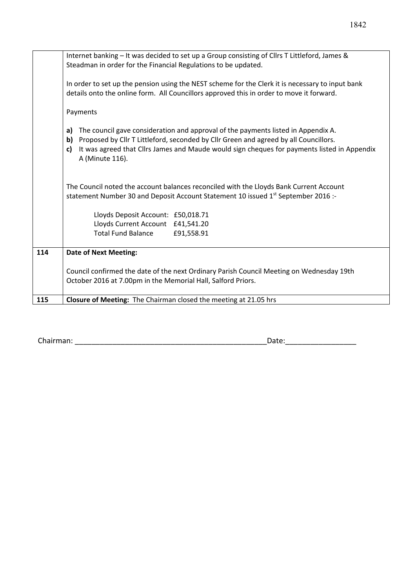|     | Internet banking - It was decided to set up a Group consisting of Cllrs T Littleford, James &<br>Steadman in order for the Financial Regulations to be updated.                                                                                                                                            |  |  |  |  |
|-----|------------------------------------------------------------------------------------------------------------------------------------------------------------------------------------------------------------------------------------------------------------------------------------------------------------|--|--|--|--|
|     | In order to set up the pension using the NEST scheme for the Clerk it is necessary to input bank<br>details onto the online form. All Councillors approved this in order to move it forward.                                                                                                               |  |  |  |  |
|     | Payments                                                                                                                                                                                                                                                                                                   |  |  |  |  |
|     | The council gave consideration and approval of the payments listed in Appendix A.<br>a)<br>b) Proposed by Cllr T Littleford, seconded by Cllr Green and agreed by all Councillors.<br>It was agreed that Cllrs James and Maude would sign cheques for payments listed in Appendix<br>c)<br>A (Minute 116). |  |  |  |  |
|     | The Council noted the account balances reconciled with the Lloyds Bank Current Account<br>statement Number 30 and Deposit Account Statement 10 issued 1 <sup>st</sup> September 2016 :-                                                                                                                    |  |  |  |  |
|     | Lloyds Deposit Account: £50,018.71                                                                                                                                                                                                                                                                         |  |  |  |  |
|     | Lloyds Current Account £41,541.20                                                                                                                                                                                                                                                                          |  |  |  |  |
|     | <b>Total Fund Balance</b><br>£91,558.91                                                                                                                                                                                                                                                                    |  |  |  |  |
| 114 | <b>Date of Next Meeting:</b>                                                                                                                                                                                                                                                                               |  |  |  |  |
|     | Council confirmed the date of the next Ordinary Parish Council Meeting on Wednesday 19th<br>October 2016 at 7.00pm in the Memorial Hall, Salford Priors.                                                                                                                                                   |  |  |  |  |
| 115 | Closure of Meeting: The Chairman closed the meeting at 21.05 hrs                                                                                                                                                                                                                                           |  |  |  |  |
|     |                                                                                                                                                                                                                                                                                                            |  |  |  |  |

Chairman: \_\_\_\_\_\_\_\_\_\_\_\_\_\_\_\_\_\_\_\_\_\_\_\_\_\_\_\_\_\_\_\_\_\_\_\_\_\_\_\_\_\_\_\_\_\_Date:\_\_\_\_\_\_\_\_\_\_\_\_\_\_\_\_\_